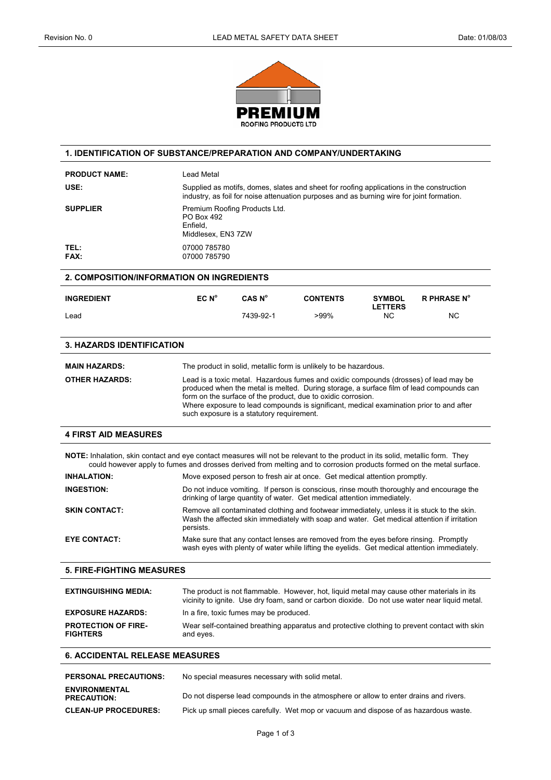

| 1. IDENTIFICATION OF SUBSTANCE/PREPARATION AND COMPANY/UNDERTAKING                                                                                                                                                                                    |                                                                                                                                                                                                                                                                                                                                                                                         |                                                 |                                                                                      |                                 |                    |
|-------------------------------------------------------------------------------------------------------------------------------------------------------------------------------------------------------------------------------------------------------|-----------------------------------------------------------------------------------------------------------------------------------------------------------------------------------------------------------------------------------------------------------------------------------------------------------------------------------------------------------------------------------------|-------------------------------------------------|--------------------------------------------------------------------------------------|---------------------------------|--------------------|
| <b>PRODUCT NAME:</b>                                                                                                                                                                                                                                  | Lead Metal                                                                                                                                                                                                                                                                                                                                                                              |                                                 |                                                                                      |                                 |                    |
| USE:                                                                                                                                                                                                                                                  | Supplied as motifs, domes, slates and sheet for roofing applications in the construction<br>industry, as foil for noise attenuation purposes and as burning wire for joint formation.                                                                                                                                                                                                   |                                                 |                                                                                      |                                 |                    |
| <b>SUPPLIER</b>                                                                                                                                                                                                                                       | Premium Roofing Products Ltd.<br>PO Box 492<br>Enfield,<br>Middlesex, EN3 7ZW                                                                                                                                                                                                                                                                                                           |                                                 |                                                                                      |                                 |                    |
| TEL:<br>FAX:                                                                                                                                                                                                                                          | 07000 785780<br>07000 785790                                                                                                                                                                                                                                                                                                                                                            |                                                 |                                                                                      |                                 |                    |
| <b>2. COMPOSITION/INFORMATION ON INGREDIENTS</b>                                                                                                                                                                                                      |                                                                                                                                                                                                                                                                                                                                                                                         |                                                 |                                                                                      |                                 |                    |
| <b>INGREDIENT</b>                                                                                                                                                                                                                                     | EC N <sup>o</sup>                                                                                                                                                                                                                                                                                                                                                                       | CAS N <sup>o</sup>                              | <b>CONTENTS</b>                                                                      | <b>SYMBOL</b><br><b>LETTERS</b> | <b>R PHRASE N°</b> |
| Lead                                                                                                                                                                                                                                                  |                                                                                                                                                                                                                                                                                                                                                                                         | 7439-92-1                                       | >99%                                                                                 | <b>NC</b>                       | NC                 |
| <b>3. HAZARDS IDENTIFICATION</b>                                                                                                                                                                                                                      |                                                                                                                                                                                                                                                                                                                                                                                         |                                                 |                                                                                      |                                 |                    |
| <b>MAIN HAZARDS:</b>                                                                                                                                                                                                                                  |                                                                                                                                                                                                                                                                                                                                                                                         |                                                 | The product in solid, metallic form is unlikely to be hazardous.                     |                                 |                    |
| <b>OTHER HAZARDS:</b>                                                                                                                                                                                                                                 | Lead is a toxic metal. Hazardous fumes and oxidic compounds (drosses) of lead may be<br>produced when the metal is melted. During storage, a surface film of lead compounds can<br>form on the surface of the product, due to oxidic corrosion.<br>Where exposure to lead compounds is significant, medical examination prior to and after<br>such exposure is a statutory requirement. |                                                 |                                                                                      |                                 |                    |
| <b>4 FIRST AID MEASURES</b>                                                                                                                                                                                                                           |                                                                                                                                                                                                                                                                                                                                                                                         |                                                 |                                                                                      |                                 |                    |
| NOTE: Inhalation, skin contact and eye contact measures will not be relevant to the product in its solid, metallic form. They<br>could however apply to fumes and drosses derived from melting and to corrosion products formed on the metal surface. |                                                                                                                                                                                                                                                                                                                                                                                         |                                                 |                                                                                      |                                 |                    |
| <b>INHALATION:</b>                                                                                                                                                                                                                                    | Move exposed person to fresh air at once. Get medical attention promptly.                                                                                                                                                                                                                                                                                                               |                                                 |                                                                                      |                                 |                    |
| <b>INGESTION:</b>                                                                                                                                                                                                                                     | Do not induce vomiting. If person is conscious, rinse mouth thoroughly and encourage the<br>drinking of large quantity of water. Get medical attention immediately.                                                                                                                                                                                                                     |                                                 |                                                                                      |                                 |                    |
| <b>SKIN CONTACT:</b>                                                                                                                                                                                                                                  | Remove all contaminated clothing and footwear immediately, unless it is stuck to the skin.<br>Wash the affected skin immediately with soap and water. Get medical attention if irritation<br>persists.                                                                                                                                                                                  |                                                 |                                                                                      |                                 |                    |
| <b>EYE CONTACT:</b>                                                                                                                                                                                                                                   | Make sure that any contact lenses are removed from the eyes before rinsing. Promptly<br>wash eyes with plenty of water while lifting the eyelids. Get medical attention immediately.                                                                                                                                                                                                    |                                                 |                                                                                      |                                 |                    |
| <b>5. FIRE-FIGHTING MEASURES</b>                                                                                                                                                                                                                      |                                                                                                                                                                                                                                                                                                                                                                                         |                                                 |                                                                                      |                                 |                    |
| <b>EXTINGUISHING MEDIA:</b>                                                                                                                                                                                                                           | The product is not flammable. However, hot, liquid metal may cause other materials in its<br>vicinity to ignite. Use dry foam, sand or carbon dioxide. Do not use water near liquid metal.                                                                                                                                                                                              |                                                 |                                                                                      |                                 |                    |
| <b>EXPOSURE HAZARDS:</b>                                                                                                                                                                                                                              | In a fire, toxic fumes may be produced.                                                                                                                                                                                                                                                                                                                                                 |                                                 |                                                                                      |                                 |                    |
| <b>PROTECTION OF FIRE-</b><br><b>FIGHTERS</b>                                                                                                                                                                                                         | Wear self-contained breathing apparatus and protective clothing to prevent contact with skin<br>and eyes.                                                                                                                                                                                                                                                                               |                                                 |                                                                                      |                                 |                    |
| <b>6. ACCIDENTAL RELEASE MEASURES</b>                                                                                                                                                                                                                 |                                                                                                                                                                                                                                                                                                                                                                                         |                                                 |                                                                                      |                                 |                    |
| <b>PERSONAL PRECAUTIONS:</b>                                                                                                                                                                                                                          |                                                                                                                                                                                                                                                                                                                                                                                         | No special measures necessary with solid metal. |                                                                                      |                                 |                    |
| <b>ENVIRONMENTAL</b><br><b>PRECAUTION:</b>                                                                                                                                                                                                            | Do not disperse lead compounds in the atmosphere or allow to enter drains and rivers.                                                                                                                                                                                                                                                                                                   |                                                 |                                                                                      |                                 |                    |
| <b>CLEAN-UP PROCEDURES:</b>                                                                                                                                                                                                                           |                                                                                                                                                                                                                                                                                                                                                                                         |                                                 | Pick up small pieces carefully. Wet mop or vacuum and dispose of as hazardous waste. |                                 |                    |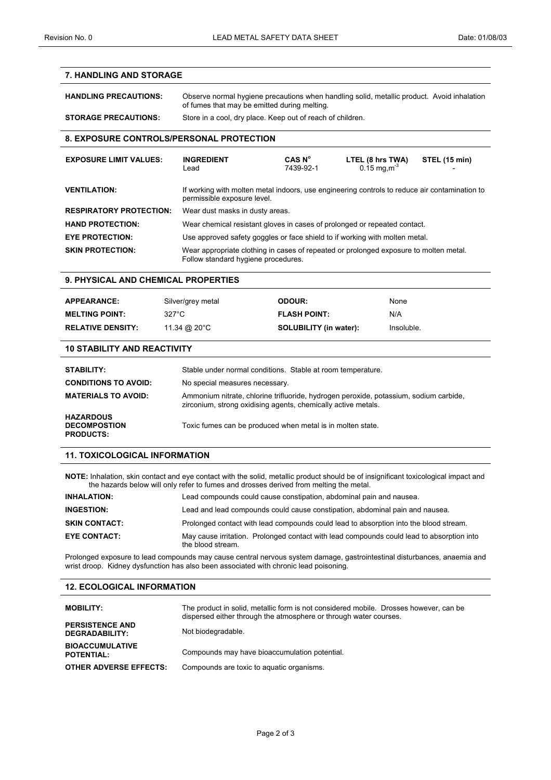## **7. HANDLING AND STORAGE**

# **HANDLING PRECAUTIONS:** Observe normal hygiene precautions when handling solid, metallic product. Avoid inhalation of fumes that may be emitted during melting.

# **STORAGE PRECAUTIONS:** Store in a cool, dry place. Keep out of reach of children.

## **8. EXPOSURE CONTROLS/PERSONAL PROTECTION**

| <b>EXPOSURE LIMIT VALUES:</b>  | <b>INGREDIENT</b><br>Lead                                                                                                    | CAS N°<br>7439-92-1 | LTEL (8 hrs TWA)<br>$0.15 \,\mathrm{mg,m^3}$ | STEL (15 min) |
|--------------------------------|------------------------------------------------------------------------------------------------------------------------------|---------------------|----------------------------------------------|---------------|
| <b>VENTILATION:</b>            | If working with molten metal indoors, use engineering controls to reduce air contamination to<br>permissible exposure level. |                     |                                              |               |
| <b>RESPIRATORY PROTECTION:</b> | Wear dust masks in dusty areas.                                                                                              |                     |                                              |               |
| <b>HAND PROTECTION:</b>        | Wear chemical resistant gloves in cases of prolonged or repeated contact.                                                    |                     |                                              |               |
| <b>EYE PROTECTION:</b>         | Use approved safety goggles or face shield to if working with molten metal.                                                  |                     |                                              |               |
| <b>SKIN PROTECTION:</b>        | Wear appropriate clothing in cases of repeated or prolonged exposure to molten metal.<br>Follow standard hygiene procedures. |                     |                                              |               |

#### **9. PHYSICAL AND CHEMICAL PROPERTIES**

| <b>APPEARANCE:</b>       | Silver/grey metal | ODOUR:                        | <b>None</b> |
|--------------------------|-------------------|-------------------------------|-------------|
| <b>MELTING POINT:</b>    | 327°C             | <b>FLASH POINT:</b>           | N/A         |
| <b>RELATIVE DENSITY:</b> | 11.34 @ 20°C      | <b>SOLUBILITY (in water):</b> | Insoluble.  |

#### **10 STABILITY AND REACTIVITY**

| <b>STABILITY:</b>                                           | Stable under normal conditions. Stable at room temperature.                                                                                            |
|-------------------------------------------------------------|--------------------------------------------------------------------------------------------------------------------------------------------------------|
| <b>CONDITIONS TO AVOID:</b>                                 | No special measures necessary.                                                                                                                         |
| <b>MATERIALS TO AVOID:</b>                                  | Ammonium nitrate, chlorine trifluoride, hydrogen peroxide, potassium, sodium carbide,<br>zirconium, strong oxidising agents, chemically active metals. |
| <b>HAZARDOUS</b><br><b>DECOMPOSTION</b><br><b>PRODUCTS:</b> | Toxic fumes can be produced when metal is in molten state.                                                                                             |

# **11. TOXICOLOGICAL INFORMATION**

**NOTE:** Inhalation, skin contact and eye contact with the solid, metallic product should be of insignificant toxicological impact and the hazards below will only refer to fumes and drosses derived from melting the metal.

| <b>INHALATION:</b>   | Lead compounds could cause constipation, abdominal pain and nausea.                                            |  |  |
|----------------------|----------------------------------------------------------------------------------------------------------------|--|--|
| <b>INGESTION:</b>    | Lead and lead compounds could cause constipation, abdominal pain and nausea.                                   |  |  |
| <b>SKIN CONTACT:</b> | Prolonged contact with lead compounds could lead to absorption into the blood stream.                          |  |  |
| <b>EYE CONTACT:</b>  | May cause irritation. Prolonged contact with lead compounds could lead to absorption into<br>the blood stream. |  |  |

Prolonged exposure to lead compounds may cause central nervous system damage, gastrointestinal disturbances, anaemia and wrist droop. Kidney dysfunction has also been associated with chronic lead poisoning.

# **12. ECOLOGICAL INFORMATION**

| <b>MOBILITY:</b>                            | The product in solid, metallic form is not considered mobile. Drosses however, can be<br>dispersed either through the atmosphere or through water courses. |
|---------------------------------------------|------------------------------------------------------------------------------------------------------------------------------------------------------------|
| <b>PERSISTENCE AND</b><br>DEGRADABILITY:    | Not biodegradable.                                                                                                                                         |
| <b>BIOACCUMULATIVE</b><br><b>POTENTIAL:</b> | Compounds may have bioaccumulation potential.                                                                                                              |
| <b>OTHER ADVERSE EFFECTS:</b>               | Compounds are toxic to aquatic organisms.                                                                                                                  |